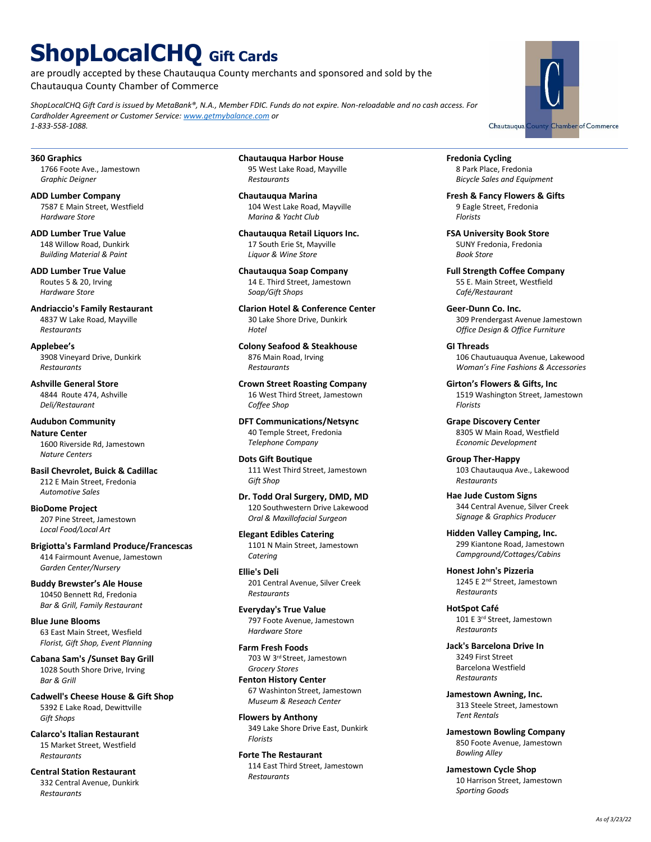# **ShopLocalCHQ Gift Cards**

are proudly accepted by these Chautauqua County merchants and sponsored and sold by the Chautauqua County Chamber of Commerce

*ShopLocalCHQ Gift Card is issued by MetaBank®, N.A., Member FDIC. Funds do not expire. Non-reloadable and no cash access. For Cardholder Agreement or Customer Service: [www.getmybalance.com](https://www.getmybalance.com/) or 1-833-558-1088.*

**360 Graphics** 1766 Foote Ave., Jamestown *Graphic Deigner*

**ADD Lumber Company** 7587 E Main Street, Westfield *Hardware Store*

**ADD Lumber True Value** 148 Willow Road, Dunkirk *Building Material & Paint*

**ADD Lumber True Value**  Routes 5 & 20, Irving *Hardware Store*

**Andriaccio's Family Restaurant** 4837 W Lake Road, Mayville *Restaurants*

**Applebee's** 3908 Vineyard Drive, Dunkirk *Restaurants*

**Ashville General Store** 4844 Route 474, Ashville *Deli/Restaurant*

**Audubon Community Nature Center** 1600 Riverside Rd, Jamestown *Nature Centers*

**Basil Chevrolet, Buick & Cadillac** 212 E Main Street, Fredonia *Automotive Sales*

**BioDome Project** 207 Pine Street, Jamestown *Local Food/Local Art*

**Brigiotta's Farmland Produce/Francescas** 414 Fairmount Avenue, Jamestown *Garden Center/Nursery*

**Buddy Brewster's Ale House** 10450 Bennett Rd, Fredonia *Bar & Grill, Family Restaurant*

**Blue June Blooms** 63 East Main Street, Wesfield *Florist, Gift Shop, Event Planning*

**Cabana Sam's /Sunset Bay Grill** 1028 South Shore Drive, Irving *Bar & Grill*

**Cadwell's Cheese House & Gift Shop** 5392 E Lake Road, Dewittville *Gift Shops*

**Calarco's Italian Restaurant** 15 Market Street, Westfield *Restaurants*

**Central Station Restaurant** 332 Central Avenue, Dunkirk *Restaurants*

**Chautauqua Harbor House** 95 West Lake Road, Mayville *Restaurants*

**Chautauqua Marina** 104 West Lake Road, Mayville *Marina & Yacht Club*

**Chautauqua Retail Liquors Inc.** 17 South Erie St, Mayville *Liquor & Wine Store*

**Chautauqua Soap Company** 14 E. Third Street, Jamestown *Soap/Gift Shops*

**Clarion Hotel & Conference Center** 30 Lake Shore Drive, Dunkirk *Hotel*

**Colony Seafood & Steakhouse** 876 Main Road, Irving *Restaurants*

**Crown Street Roasting Company** 16 West Third Street, Jamestown *Coffee Shop*

**DFT Communications/Netsync** 40 Temple Street, Fredonia *Telephone Company*

**Dots Gift Boutique** 111 West Third Street, Jamestown *Gift Shop*

**Dr. Todd Oral Surgery, DMD, MD** 120 Southwestern Drive Lakewood *Oral & Maxillofacial Surgeon*

**Elegant Edibles Catering** 1101 N Main Street, Jamestown *Catering*

**Ellie's Deli** 201 Central Avenue, Silver Creek *Restaurants*

**Everyday's True Value** 797 Foote Avenue, Jamestown *Hardware Store*

**Farm Fresh Foods** 703 W 3rd Street, Jamestown *Grocery Stores* **Fenton History Center**

67 Washinton Street, Jamestown *Museum & Reseach Center*

**Flowers by Anthony** 349 Lake Shore Drive East, Dunkirk *Florists*

**Forte The Restaurant**  114 East Third Street, Jamestown *Restaurants*

**Fredonia Cycling** 8 Park Place, Fredonia *Bicycle Sales and Equipment*

**Fresh & Fancy Flowers & Gifts** 9 Eagle Street, Fredonia *Florists*

**FSA University Book Store** SUNY Fredonia, Fredonia *Book Store*

**Full Strength Coffee Company** 55 E. Main Street, Westfield *Café/Restaurant*

**Geer-Dunn Co. Inc.** 309 Prendergast Avenue Jamestown *Office Design & Office Furniture*

**GI Threads** 106 Chautuauqua Avenue, Lakewood *Woman's Fine Fashions & Accessories*

**Girton's Flowers & Gifts, Inc** 1519 Washington Street, Jamestown *Florists*

**Grape Discovery Center** 8305 W Main Road, Westfield *Economic Development*

**Group Ther-Happy** 103 Chautauqua Ave., Lakewood *Restaurants*

**Hae Jude Custom Signs** 344 Central Avenue, Silver Creek *Signage & Graphics Producer*

**Hidden Valley Camping, Inc.** 299 Kiantone Road, Jamestown *Campground/Cottages/Cabins*

**Honest John's Pizzeria** 1245 E 2nd Street, Jamestown *Restaurants*

**HotSpot Café**  101 E 3rd Street, Jamestown *Restaurants*

**Jack's Barcelona Drive In** 3249 First Street Barcelona Westfield *Restaurants*

**Jamestown Awning, Inc.** 313 Steele Street, Jamestown *Tent Rentals*

**Jamestown Bowling Company** 850 Foote Avenue, Jamestown *Bowling Alley*

**Jamestown Cycle Shop** 10 Harrison Street, Jamestown *Sporting Goods*

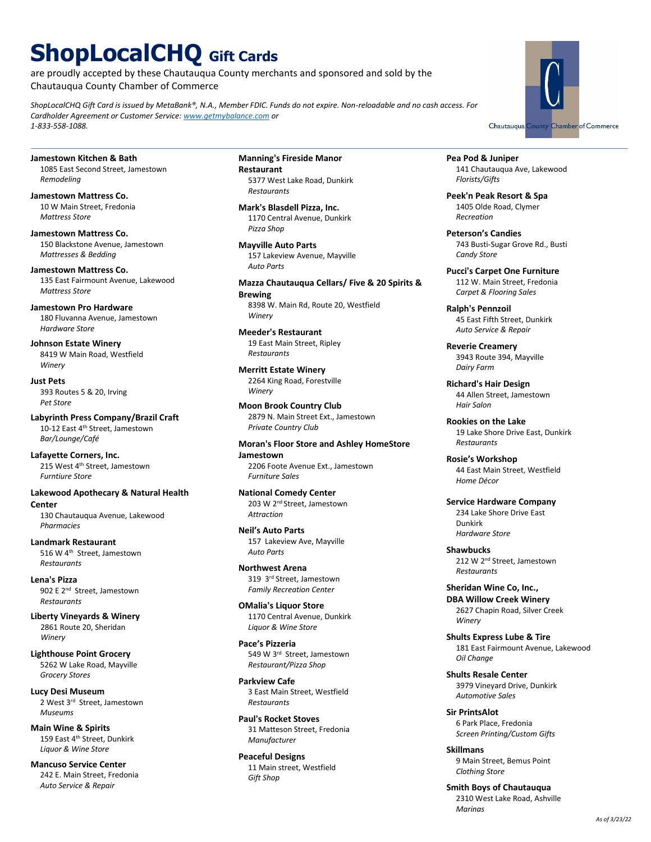# **ShopLocalCHQ Gift Cards**

are proudly accepted by these Chautauqua County merchants and sponsored and sold by the Chautauqua County Chamber of Commerce

*ShopLocalCHQ Gift Card is issued by MetaBank®, N.A., Member FDIC. Funds do not expire. Non-reloadable and no cash access. For Cardholder Agreement or Customer Service: [www.getmybalance.com](https://www.getmybalance.com/) or 1-833-558-1088.*

**Jamestown Kitchen & Bath** 1085 East Second Street, Jamestown *Remodeling*

**Jamestown Mattress Co.** 10 W Main Street, Fredonia *Mattress Store*

**Jamestown Mattress Co.** 150 Blackstone Avenue, Jamestown *Mattresses & Bedding*

**Jamestown Mattress Co.** 135 East Fairmount Avenue, Lakewood *Mattress Store*

**Jamestown Pro Hardware** 180 Fluvanna Avenue, Jamestown *Hardware Store*

**Johnson Estate Winery** 8419 W Main Road, Westfield *Winery*

**Just Pets** 393 Routes 5 & 20, Irving *Pet Store*

**Labyrinth Press Company/Brazil Craft** 10-12 East 4<sup>th</sup> Street, Jamestown *Bar/Lounge/Café*

**Lafayette Corners, Inc.** 215 West 4<sup>th</sup> Street, Jamestown *Furntiure Store*

**Lakewood Apothecary & Natural Health Center** 130 Chautauqua Avenue, Lakewood

*Pharmacies* **Landmark Restaurant**

516 W 4th Street, Jamestown *Restaurants*

**Lena's Pizza** 902 E 2<sup>nd</sup> Street, Jamestown *Restaurants*

**Liberty Vineyards & Winery** 2861 Route 20, Sheridan *Winery*

**Lighthouse Point Grocery** 5262 W Lake Road, Mayville *Grocery Stores*

**Lucy Desi Museum** 2 West 3<sup>rd</sup> Street, Jamestown *Museums*

**Main Wine & Spirits** 159 East 4<sup>th</sup> Street, Dunkirk *Liquor & Wine Store*

**Mancuso Service Center** 242 E. Main Street, Fredonia *Auto Service & Repair*

**Manning's Fireside Manor Restaurant** 5377 West Lake Road, Dunkirk *Restaurants*

**Mark's Blasdell Pizza, Inc.** 1170 Central Avenue, Dunkirk *Pizza Shop*

**Mayville Auto Parts** 157 Lakeview Avenue, Mayville *Auto Parts*

**Mazza Chautauqua Cellars/ Five & 20 Spirits & Brewing** 8398 W. Main Rd, Route 20, Westfield *Winery*

**Meeder's Restaurant** 19 East Main Street, Ripley *Restaurants* 

**Merritt Estate Winery** 2264 King Road, Forestville *Winery*

**Moon Brook Country Club**  2879 N. Main Street Ext., Jamestown *Private Country Club*

**Moran's Floor Store and Ashley HomeStore Jamestown** 2206 Foote Avenue Ext., Jamestown

**National Comedy Center** 203 W 2<sup>nd</sup> Street, Jamestown *Attraction*

*Furniture Sales*

**Neil's Auto Parts**  157 Lakeview Ave, Mayville *Auto Parts* 

**Northwest Arena** 319 3rd Street, Jamestown *Family Recreation Center*

**OMalia's Liquor Store** 1170 Central Avenue, Dunkirk *Liquor & Wine Store*

**Pace's Pizzeria** 549 W 3rd Street, Jamestown *Restaurant/Pizza Shop*

**Parkview Cafe** 3 East Main Street, Westfield *Restaurants*

**Paul's Rocket Stoves** 31 Matteson Street, Fredonia *Manufacturer*

**Peaceful Designs** 11 Main street, Westfield *Gift Shop*

Chautauqua County Chamber of Commerce

**Pea Pod & Juniper** 141 Chautauqua Ave, Lakewood *Florists/Gifts*

**Peek'n Peak Resort & Spa** 1405 Olde Road, Clymer *Recreation*

**Peterson's Candies** 743 Busti-Sugar Grove Rd., Busti *Candy Store*

**Pucci's Carpet One Furniture** 112 W. Main Street, Fredonia *Carpet & Flooring Sales*

**Ralph's Pennzoil** 45 East Fifth Street, Dunkirk *Auto Service & Repair*

**Reverie Creamery** 3943 Route 394, Mayville *Dairy Farm*

**Richard's Hair Design** 44 Allen Street, Jamestown *Hair Salon*

**Rookies on the Lake** 19 Lake Shore Drive East, Dunkirk *Restaurants*

**Rosie's Workshop** 44 East Main Street, Westfield *Home Décor*

**Service Hardware Company** 234 Lake Shore Drive East Dunkirk *Hardware Store*

**Shawbucks**  212 W 2nd Street, Jamestown *Restaurants*

**Sheridan Wine Co, Inc., DBA Willow Creek Winery** 2627 Chapin Road, Silver Creek *Winery*

**Shults Express Lube & Tire** 181 East Fairmount Avenue, Lakewood *Oil Change*

**Shults Resale Center** 3979 Vineyard Drive, Dunkirk *Automotive Sales*

**Sir PrintsAlot** 6 Park Place, Fredonia *Screen Printing/Custom Gifts*

**Skillmans** 9 Main Street, Bemus Point *Clothing Store*

**Smith Boys of Chautauqua** 2310 West Lake Road, Ashville *Marinas*